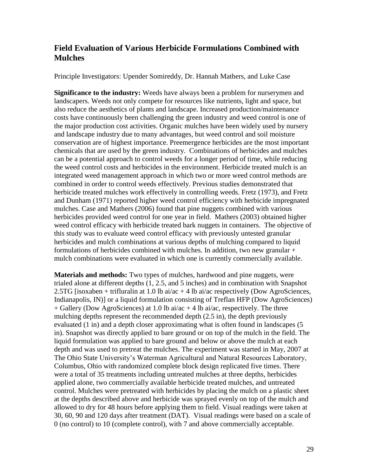## **Field Evaluation of Various Herbicide Formulations Combined with Mulches**

Principle Investigators: Upender Somireddy, Dr. Hannah Mathers, and Luke Case

**Significance to the industry:** Weeds have always been a problem for nurserymen and landscapers. Weeds not only compete for resources like nutrients, light and space, but also reduce the aesthetics of plants and landscape. Increased production/maintenance costs have continuously been challenging the green industry and weed control is one of the major production cost activities. Organic mulches have been widely used by nursery and landscape industry due to many advantages, but weed control and soil moisture conservation are of highest importance. Preemergence herbicides are the most important chemicals that are used by the green industry. Combinations of herbicides and mulches can be a potential approach to control weeds for a longer period of time, while reducing the weed control costs and herbicides in the environment. Herbicide treated mulch is an integrated weed management approach in which two or more weed control methods are combined in order to control weeds effectively. Previous studies demonstrated that herbicide treated mulches work effectively in controlling weeds. Fretz (1973), and Fretz and Dunham (1971) reported higher weed control efficiency with herbicide impregnated mulches. Case and Mathers (2006) found that pine nuggets combined with various herbicides provided weed control for one year in field. Mathers (2003) obtained higher weed control efficacy with herbicide treated bark nuggets in containers. The objective of this study was to evaluate weed control efficacy with previously untested granular herbicides and mulch combinations at various depths of mulching compared to liquid formulations of herbicides combined with mulches. In addition, two new granular  $+$ mulch combinations were evaluated in which one is currently commercially available.

**Materials and methods:** Two types of mulches, hardwood and pine nuggets, were trialed alone at different depths (1, 2.5, and 5 inches) and in combination with Snapshot 2.5TG [isoxaben + trifluralin at  $1.0$  lb ai/ac + 4 lb ai/ac respectively (Dow AgroSciences, Indianapolis, IN)] or a liquid formulation consisting of Treflan HFP (Dow AgroSciences)  $+$  Gallery (Dow AgroSciences) at 1.0 lb ai/ac  $+$  4 lb ai/ac, respectively. The three mulching depths represent the recommended depth (2.5 in), the depth previously evaluated (1 in) and a depth closer approximating what is often found in landscapes (5 in). Snapshot was directly applied to bare ground or on top of the mulch in the field. The liquid formulation was applied to bare ground and below or above the mulch at each depth and was used to pretreat the mulches. The experiment was started in May, 2007 at The Ohio State University's Waterman Agricultural and Natural Resources Laboratory, Columbus, Ohio with randomized complete block design replicated five times. There were a total of 35 treatments including untreated mulches at three depths, herbicides applied alone, two commercially available herbicide treated mulches, and untreated control. Mulches were pretreated with herbicides by placing the mulch on a plastic sheet at the depths described above and herbicide was sprayed evenly on top of the mulch and allowed to dry for 48 hours before applying them to field. Visual readings were taken at 30, 60, 90 and 120 days after treatment (DAT). Visual readings were based on a scale of 0 (no control) to 10 (complete control), with 7 and above commercially acceptable.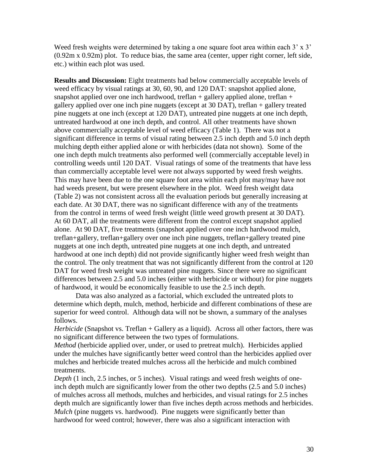Weed fresh weights were determined by taking a one square foot area within each  $3' \times 3'$ (0.92m x 0.92m) plot. To reduce bias, the same area (center, upper right corner, left side, etc.) within each plot was used.

**Results and Discussion:** Eight treatments had below commercially acceptable levels of weed efficacy by visual ratings at 30, 60, 90, and 120 DAT: snapshot applied alone, snapshot applied over one inch hardwood, treflan + gallery applied alone, treflan + gallery applied over one inch pine nuggets (except at 30 DAT), treflan + gallery treated pine nuggets at one inch (except at 120 DAT), untreated pine nuggets at one inch depth, untreated hardwood at one inch depth, and control. All other treatments have shown above commercially acceptable level of weed efficacy (Table 1). There was not a significant difference in terms of visual rating between 2.5 inch depth and 5.0 inch depth mulching depth either applied alone or with herbicides (data not shown). Some of the one inch depth mulch treatments also performed well (commercially acceptable level) in controlling weeds until 120 DAT. Visual ratings of some of the treatments that have less than commercially acceptable level were not always supported by weed fresh weights. This may have been due to the one square foot area within each plot may/may have not had weeds present, but were present elsewhere in the plot. Weed fresh weight data (Table 2) was not consistent across all the evaluation periods but generally increasing at each date. At 30 DAT, there was no significant difference with any of the treatments from the control in terms of weed fresh weight (little weed growth present at 30 DAT). At 60 DAT, all the treatments were different from the control except snapshot applied alone. At 90 DAT, five treatments (snapshot applied over one inch hardwood mulch, treflan+gallery, treflan+gallery over one inch pine nuggets, treflan+gallery treated pine nuggets at one inch depth, untreated pine nuggets at one inch depth, and untreated hardwood at one inch depth) did not provide significantly higher weed fresh weight than the control. The only treatment that was not significantly different from the control at 120 DAT for weed fresh weight was untreated pine nuggets. Since there were no significant differences between 2.5 and 5.0 inches (either with herbicide or without) for pine nuggets of hardwood, it would be economically feasible to use the 2.5 inch depth.

Data was also analyzed as a factorial, which excluded the untreated plots to determine which depth, mulch, method, herbicide and different combinations of these are superior for weed control. Although data will not be shown, a summary of the analyses follows.

*Herbicide* (Snapshot vs. Treflan + Gallery as a liquid). Across all other factors, there was no significant difference between the two types of formulations.

*Method* (herbicide applied over, under, or used to pretreat mulch). Herbicides applied under the mulches have significantly better weed control than the herbicides applied over mulches and herbicide treated mulches across all the herbicide and mulch combined treatments.

*Depth* (1 inch, 2.5 inches, or 5 inches). Visual ratings and weed fresh weights of oneinch depth mulch are significantly lower from the other two depths (2.5 and 5.0 inches) of mulches across all methods, mulches and herbicides, and visual ratings for 2.5 inches depth mulch are significantly lower than five inches depth across methods and herbicides. *Mulch* (pine nuggets vs. hardwood). Pine nuggets were significantly better than hardwood for weed control; however, there was also a significant interaction with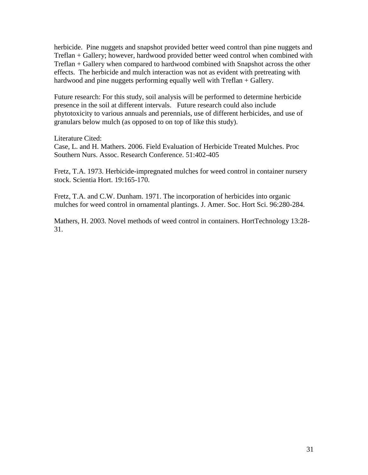herbicide. Pine nuggets and snapshot provided better weed control than pine nuggets and Treflan + Gallery; however, hardwood provided better weed control when combined with Treflan + Gallery when compared to hardwood combined with Snapshot across the other effects. The herbicide and mulch interaction was not as evident with pretreating with hardwood and pine nuggets performing equally well with Treflan + Gallery.

Future research: For this study, soil analysis will be performed to determine herbicide presence in the soil at different intervals. Future research could also include phytotoxicity to various annuals and perennials, use of different herbicides, and use of granulars below mulch (as opposed to on top of like this study).

Literature Cited:

Case, L. and H. Mathers. 2006. Field Evaluation of Herbicide Treated Mulches. Proc Southern Nurs. Assoc. Research Conference. 51:402-405

Fretz, T.A. 1973. Herbicide-impregnated mulches for weed control in container nursery stock. Scientia Hort. 19:165-170.

Fretz, T.A. and C.W. Dunham. 1971. The incorporation of herbicides into organic mulches for weed control in ornamental plantings. J. Amer. Soc. Hort Sci. 96:280-284.

Mathers, H. 2003. Novel methods of weed control in containers. HortTechnology 13:28- 31.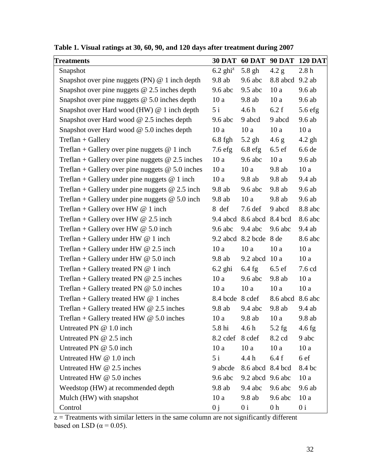| <b>Treatments</b>                                  |                     |                           |                  | 30 DAT 60 DAT 90 DAT 120 DAT |
|----------------------------------------------------|---------------------|---------------------------|------------------|------------------------------|
| Snapshot                                           | $6.2 \text{ ghi}^2$ | $5.8$ gh                  | 4.2 g            | 2.8h                         |
| Snapshot over pine nuggets (PN) $@$ 1 inch depth   | 9.8ab               | $9.6$ abc                 | 8.8 abcd 9.2 ab  |                              |
| Snapshot over pine nuggets $@$ 2.5 inches depth    | 9.6 abc             | $9.5$ abc                 | 10a              | $9.6$ ab                     |
| Snapshot over pine nuggets $@$ 5.0 inches depth    | 10a                 | $9.8$ ab                  | 10a              | 9.6ab                        |
| Snapshot over Hard wood (HW) @ 1 inch depth        | 5i                  | 4.6 h                     | 6.2 f            | $5.6$ efg                    |
| Snapshot over Hard wood $@$ 2.5 inches depth       | $9.6$ abc           | 9 abcd                    | 9 abcd           | 9.6 ab                       |
| Snapshot over Hard wood $@$ 5.0 inches depth       | 10a                 | 10a                       | 10a              | 10a                          |
| $Treflan + Gallery$                                | $6.8$ fgh           | $5.2$ gh                  | 4.6 g            | $4.2$ gh                     |
| Treflan + Gallery over pine nuggets $@$ 1 inch     | $7.6$ efg           | $6.8$ efg                 | $6.5 \text{ ef}$ | 6.6 de                       |
| Treflan + Gallery over pine nuggets $@ 2.5$ inches | 10a                 | $9.6$ abc                 | 10a              | $9.6$ ab                     |
| Treflan + Gallery over pine nuggets $@$ 5.0 inches | 10a                 | 10a                       | 9.8ab            | 10a                          |
| Treflan + Gallery under pine nuggets $@$ 1 inch    | 10a                 | 9.8ab                     | 9.8ab            | 9.4 ab                       |
| Treflan + Gallery under pine nuggets $@ 2.5$ inch  | 9.8ab               | $9.6$ abc                 | 9.8ab            | 9.6 ab                       |
| Treflan + Gallery under pine nuggets $@$ 5.0 inch  | 9.8ab               | 10a                       | 9.8ab            | 9.6ab                        |
| Treflan + Gallery over HW $@$ 1 inch               | 8 def               | $7.6$ def                 | 9 abcd           | 8.8 abc                      |
| Treflan + Gallery over HW $@$ 2.5 inch             |                     | 9.4 abcd 8.6 abcd 8.4 bcd |                  | 8.6 abc                      |
| Treflan + Gallery over HW $@$ 5.0 inch             | $9.6$ abc           | $9.4$ abc                 | $9.6$ abc        | $9.4$ ab                     |
| Treflan + Gallery under HW $@$ 1 inch              |                     | 9.2 abcd 8.2 bcde 8 de    |                  | 8.6 abc                      |
| Treflan + Gallery under HW $@$ 2.5 inch            | 10a                 | 10a                       | 10a              | 10a                          |
| Treflan + Gallery under HW $@$ 5.0 inch            | $9.8$ ab            | 9.2 abcd 10 a             |                  | 10a                          |
| Treflan + Gallery treated PN $@$ 1 inch            | $6.2$ ghi           | $6.4$ fg                  | $6.5 \text{ ef}$ | $7.6$ cd                     |
| Treflan + Gallery treated PN $@$ 2.5 inches        | 10a                 | $9.6$ abc                 | 9.8 ab           | 10a                          |
| Treflan + Gallery treated PN $@$ 5.0 inches        | 10a                 | 10a                       | 10a              | 10a                          |
| Treflan + Gallery treated HW $@$ 1 inches          | 8.4 bcde 8 cdef     |                           | 8.6 abcd 8.6 abc |                              |
| Treflan + Gallery treated HW $@$ 2.5 inches        | 9.8ab               | $9.4$ abc                 | $9.8$ ab         | $9.4$ ab                     |
| Treflan + Gallery treated HW $@$ 5.0 inches        | 10a                 | 9.8 ab                    | 10a              | 9.8 ab                       |
| Untreated PN @ 1.0 inch                            | 5.8 hi              | 4.6 <sub>h</sub>          | $5.2$ fg         | $4.6$ fg                     |
| Untreated PN @ 2.5 inch                            | 8.2 cdef            | 8 cdef                    | 8.2 cd           | 9 abc                        |
| Untreated PN @ 5.0 inch                            | 10a                 | 10a                       | 10a              | 10a                          |
| Untreated HW @ 1.0 inch                            | 5i                  | 4.4 h                     | 6.4f             | 6 ef                         |
| Untreated HW @ 2.5 inches                          | 9 abcde             | 8.6 abcd 8.4 bcd          |                  | 8.4 bc                       |
| Untreated HW $@$ 5.0 inches                        | $9.6$ abc           | 9.2 abcd 9.6 abc          |                  | 10a                          |
| Weedstop (HW) at recommended depth                 | 9.8ab               | $9.4$ abc                 | $9.6$ abc        | 9.6 ab                       |
| Mulch (HW) with snapshot                           | 10a                 | $9.8$ ab                  | $9.6$ abc        | 10a                          |
| Control                                            | 0j                  | 0 <sub>i</sub>            | 0 <sub>h</sub>   | 0 <sub>i</sub>               |

**Table 1. Visual ratings at 30, 60, 90, and 120 days after treatment during 2007**

 $z =$ Treatments with similar letters in the same column are not significantly different based on LSD ( $\alpha$  = 0.05).